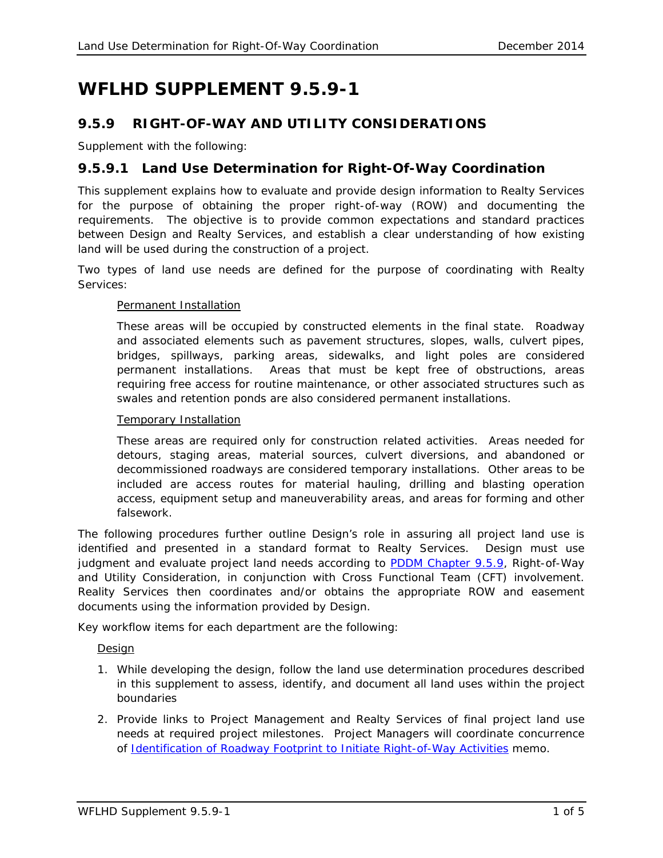# **WFLHD SUPPLEMENT 9.5.9-1**

## **9.5.9 RIGHT-OF-WAY AND UTILITY CONSIDERATIONS**

Supplement with the following:

## **9.5.9.1 Land Use Determination for Right-Of-Way Coordination**

This supplement explains how to evaluate and provide design information to Realty Services for the purpose of obtaining the proper right-of-way (ROW) and documenting the requirements. The objective is to provide common expectations and standard practices between Design and Realty Services, and establish a clear understanding of how existing land will be used during the construction of a project.

Two types of land use needs are defined for the purpose of coordinating with Realty Services:

#### Permanent Installation

These areas will be occupied by constructed elements in the final state. Roadway and associated elements such as pavement structures, slopes, walls, culvert pipes, bridges, spillways, parking areas, sidewalks, and light poles are considered permanent installations. Areas that must be kept free of obstructions, areas requiring free access for routine maintenance, or other associated structures such as swales and retention ponds are also considered permanent installations.

#### Temporary Installation

These areas are required only for construction related activities. Areas needed for detours, staging areas, material sources, culvert diversions, and abandoned or decommissioned roadways are considered temporary installations. Other areas to be included are access routes for material hauling, drilling and blasting operation access, equipment setup and maneuverability areas, and areas for forming and other falsework.

The following procedures further outline Design's role in assuring all project land use is identified and presented in a standard format to Realty Services. Design must use judgment and evaluate project land needs according to [PDDM Chapter 9.5.9,](https://flh.fhwa.dot.gov/resources/design/pddm/Chapter_09.pdf#9.5.9) *Right-of-Way and Utility Consideration*, in conjunction with Cross Functional Team (CFT) involvement. Reality Services then coordinates and/or obtains the appropriate ROW and easement documents using the information provided by Design.

Key workflow items for each department are the following:

#### Design

- 1. While developing the design, follow the land use determination procedures described in this supplement to assess, identify, and document all land uses within the project boundaries
- 2. Provide links to Project Management and Realty Services of final project land use needs at required project milestones. Project Managers will coordinate concurrence of [Identification of Roadway Footprint to Initiate Right-of-Way Activities](http://wflnet.wfl.fhwa.dot.gov/policies/project_delivery/technical_services/wfl-row-footprint-lockdown.pdf) memo.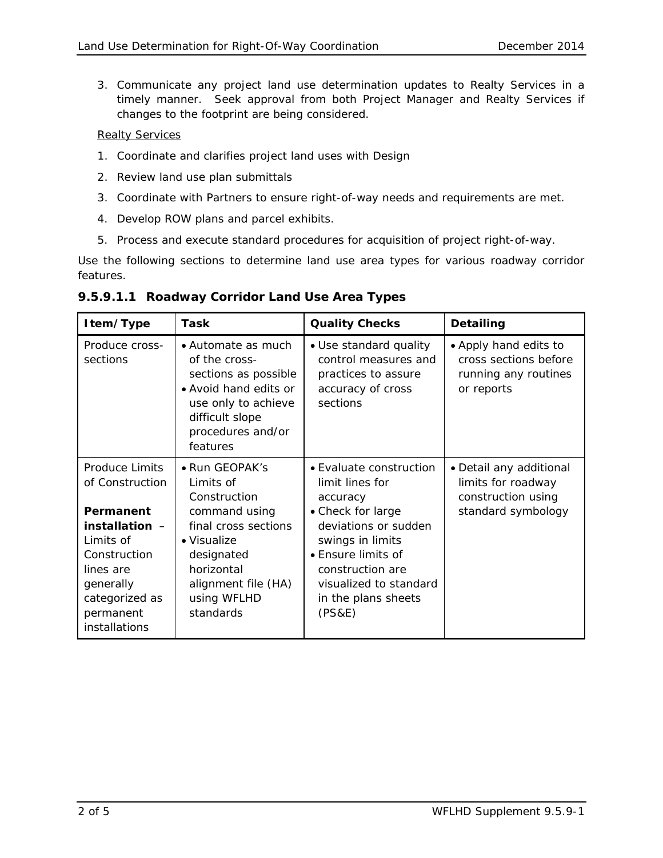3. Communicate any project land use determination updates to Realty Services in a timely manner. Seek approval from both Project Manager and Realty Services if changes to the footprint are being considered.

### Realty Services

- 1. Coordinate and clarifies project land uses with Design
- 2. Review land use plan submittals
- 3. Coordinate with Partners to ensure right-of-way needs and requirements are met.
- 4. Develop ROW plans and parcel exhibits.
- 5. Process and execute standard procedures for acquisition of project right-of-way.

Use the following sections to determine land use area types for various roadway corridor features.

| Item/Type                                                                                                                                                                  | Task                                                                                                                                                                                | <b>Quality Checks</b>                                                                                                                                                                                                        | Detailing                                                                                 |
|----------------------------------------------------------------------------------------------------------------------------------------------------------------------------|-------------------------------------------------------------------------------------------------------------------------------------------------------------------------------------|------------------------------------------------------------------------------------------------------------------------------------------------------------------------------------------------------------------------------|-------------------------------------------------------------------------------------------|
| Produce cross-<br>sections                                                                                                                                                 | • Automate as much<br>of the cross-<br>sections as possible<br>• Avoid hand edits or<br>use only to achieve<br>difficult slope<br>procedures and/or<br>features                     | • Use standard quality<br>control measures and<br>practices to assure<br>accuracy of cross<br>sections                                                                                                                       | • Apply hand edits to<br>cross sections before<br>running any routines<br>or reports      |
| Produce Limits<br>of Construction<br>Permanent<br>installation $-$<br>I imits of<br>Construction<br>lines are<br>generally<br>categorized as<br>permanent<br>installations | • Run GEOPAK's<br>I imits of<br>Construction<br>command using<br>final cross sections<br>• Visualize<br>designated<br>horizontal<br>alignment file (HA)<br>using WFLHD<br>standards | • Evaluate construction<br>limit lines for<br>accuracy<br>• Check for large<br>deviations or sudden<br>swings in limits<br>• Ensure limits of<br>construction are<br>visualized to standard<br>in the plans sheets<br>(PS&E) | • Detail any additional<br>limits for roadway<br>construction using<br>standard symbology |

**9.5.9.1.1 Roadway Corridor Land Use Area Types**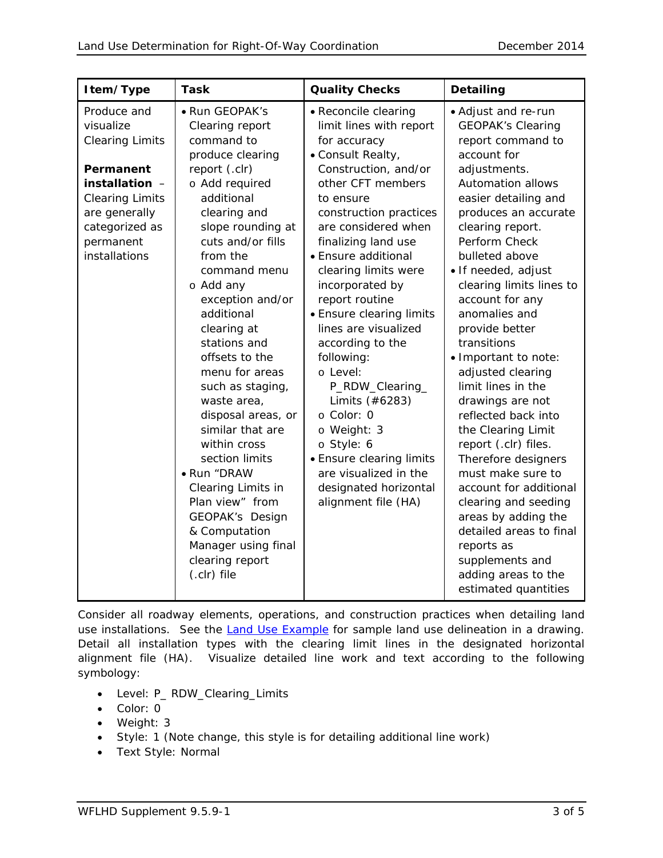| Item/Type                                                                                                                                                                    | <b>Task</b>                                                                                                                                                                                                                                                                                                                                                                                                                                                                                                                                                                                      | <b>Quality Checks</b>                                                                                                                                                                                                                                                                                                                                                                                                                                                                                                                                                                             | Detailing                                                                                                                                                                                                                                                                                                                                                                                                                                                                                                                                                                                                                                                                                                                                                  |
|------------------------------------------------------------------------------------------------------------------------------------------------------------------------------|--------------------------------------------------------------------------------------------------------------------------------------------------------------------------------------------------------------------------------------------------------------------------------------------------------------------------------------------------------------------------------------------------------------------------------------------------------------------------------------------------------------------------------------------------------------------------------------------------|---------------------------------------------------------------------------------------------------------------------------------------------------------------------------------------------------------------------------------------------------------------------------------------------------------------------------------------------------------------------------------------------------------------------------------------------------------------------------------------------------------------------------------------------------------------------------------------------------|------------------------------------------------------------------------------------------------------------------------------------------------------------------------------------------------------------------------------------------------------------------------------------------------------------------------------------------------------------------------------------------------------------------------------------------------------------------------------------------------------------------------------------------------------------------------------------------------------------------------------------------------------------------------------------------------------------------------------------------------------------|
| Produce and<br>visualize<br><b>Clearing Limits</b><br>Permanent<br>installation -<br><b>Clearing Limits</b><br>are generally<br>categorized as<br>permanent<br>installations | • Run GEOPAK's<br>Clearing report<br>command to<br>produce clearing<br>report (.clr)<br>o Add required<br>additional<br>clearing and<br>slope rounding at<br>cuts and/or fills<br>from the<br>command menu<br>o Add any<br>exception and/or<br>additional<br>clearing at<br>stations and<br>offsets to the<br>menu for areas<br>such as staging,<br>waste area,<br>disposal areas, or<br>similar that are<br>within cross<br>section limits<br>• Run "DRAW<br>Clearing Limits in<br>Plan view" from<br>GEOPAK's Design<br>& Computation<br>Manager using final<br>clearing report<br>(.clr) file | • Reconcile clearing<br>limit lines with report<br>for accuracy<br>• Consult Realty,<br>Construction, and/or<br>other CFT members<br>to ensure<br>construction practices<br>are considered when<br>finalizing land use<br>• Ensure additional<br>clearing limits were<br>incorporated by<br>report routine<br>• Ensure clearing limits<br>lines are visualized<br>according to the<br>following:<br>o Level:<br>P_RDW_Clearing_<br>Limits (#6283)<br>o Color: 0<br>o Weight: 3<br>o Style: 6<br>• Ensure clearing limits<br>are visualized in the<br>designated horizontal<br>alignment file (HA) | • Adjust and re-run<br><b>GEOPAK's Clearing</b><br>report command to<br>account for<br>adjustments.<br><b>Automation allows</b><br>easier detailing and<br>produces an accurate<br>clearing report.<br>Perform Check<br>bulleted above<br>• If needed, adjust<br>clearing limits lines to<br>account for any<br>anomalies and<br>provide better<br>transitions<br>· Important to note:<br>adjusted clearing<br>limit lines in the<br>drawings are not<br>reflected back into<br>the Clearing Limit<br>report (.clr) files.<br>Therefore designers<br>must make sure to<br>account for additional<br>clearing and seeding<br>areas by adding the<br>detailed areas to final<br>reports as<br>supplements and<br>adding areas to the<br>estimated quantities |

Consider all roadway elements, operations, and construction practices when detailing land use installations. See the [Land Use Example](Land-Use-Example.pdf) for sample land use delineation in a drawing. Detail all installation types with the clearing limit lines in the designated horizontal alignment file (HA). Visualize detailed line work and text according to the following symbology:

- Level: P\_ RDW\_Clearing\_Limits
- Color: 0
- Weight: 3
- Style: 1 (Note change, this style is for detailing additional line work)
- Text Style: Normal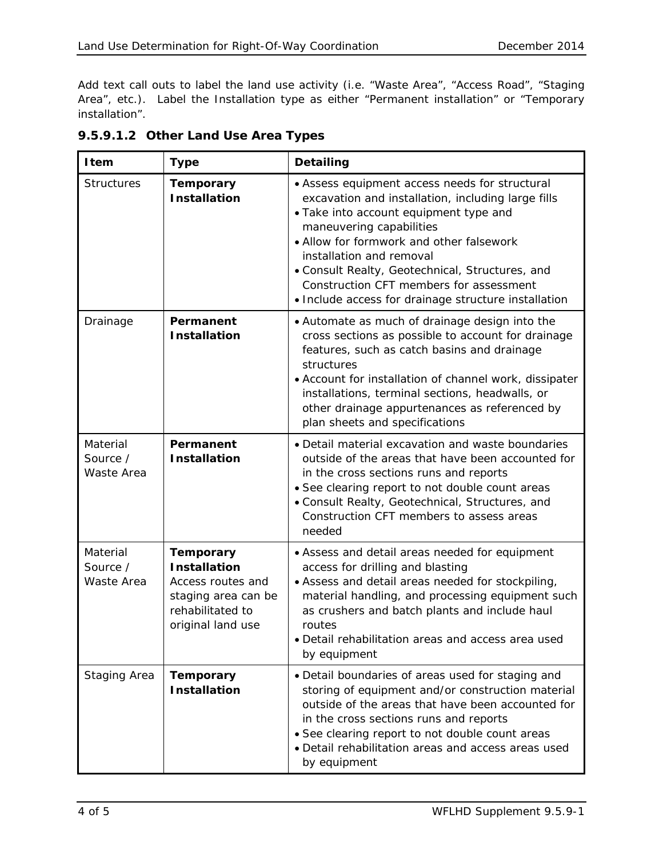Add text call outs to label the land use activity (i.e. "Waste Area", "Access Road", "Staging Area", etc.). Label the Installation type as either "Permanent installation" or "Temporary installation".

| <b>Item</b>                        | <b>Type</b>                                                                                                                  | <b>Detailing</b>                                                                                                                                                                                                                                                                                                                                                                                         |
|------------------------------------|------------------------------------------------------------------------------------------------------------------------------|----------------------------------------------------------------------------------------------------------------------------------------------------------------------------------------------------------------------------------------------------------------------------------------------------------------------------------------------------------------------------------------------------------|
| <b>Structures</b>                  | <b>Temporary</b><br><b>Installation</b>                                                                                      | • Assess equipment access needs for structural<br>excavation and installation, including large fills<br>• Take into account equipment type and<br>maneuvering capabilities<br>• Allow for formwork and other falsework<br>installation and removal<br>· Consult Realty, Geotechnical, Structures, and<br>Construction CFT members for assessment<br>• Include access for drainage structure installation |
| Drainage                           | Permanent<br><b>Installation</b>                                                                                             | • Automate as much of drainage design into the<br>cross sections as possible to account for drainage<br>features, such as catch basins and drainage<br>structures<br>• Account for installation of channel work, dissipater<br>installations, terminal sections, headwalls, or<br>other drainage appurtenances as referenced by<br>plan sheets and specifications                                        |
| Material<br>Source /<br>Waste Area | Permanent<br><b>Installation</b>                                                                                             | • Detail material excavation and waste boundaries<br>outside of the areas that have been accounted for<br>in the cross sections runs and reports<br>• See clearing report to not double count areas<br>. Consult Realty, Geotechnical, Structures, and<br>Construction CFT members to assess areas<br>needed                                                                                             |
| Material<br>Source /<br>Waste Area | <b>Temporary</b><br><b>Installation</b><br>Access routes and<br>staging area can be<br>rehabilitated to<br>original land use | • Assess and detail areas needed for equipment<br>access for drilling and blasting<br>• Assess and detail areas needed for stockpiling,<br>material handling, and processing equipment such<br>as crushers and batch plants and include haul<br>routes<br>• Detail rehabilitation areas and access area used<br>by equipment                                                                             |
| <b>Staging Area</b>                | <b>Temporary</b><br><b>Installation</b>                                                                                      | · Detail boundaries of areas used for staging and<br>storing of equipment and/or construction material<br>outside of the areas that have been accounted for<br>in the cross sections runs and reports<br>• See clearing report to not double count areas<br>· Detail rehabilitation areas and access areas used<br>by equipment                                                                          |